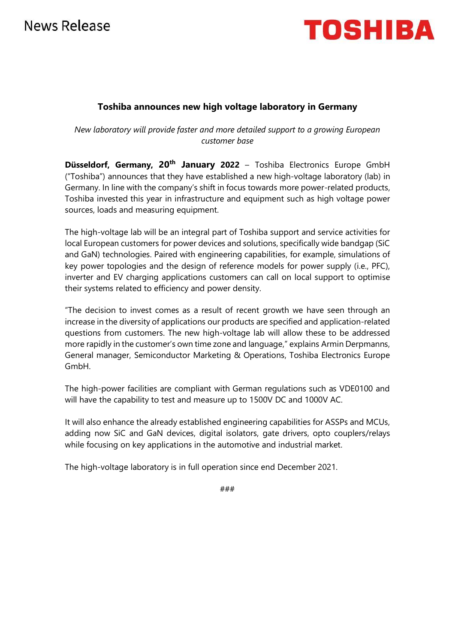# News Release



### **Toshiba announces new high voltage laboratory in Germany**

*New laboratory will provide faster and more detailed support to a growing European customer base*

**Düsseldorf, Germany, 20th January 2022** – Toshiba Electronics Europe GmbH ("Toshiba") announces that they have established a new high-voltage laboratory (lab) in Germany. In line with the company's shift in focus towards more power-related products, Toshiba invested this year in infrastructure and equipment such as high voltage power sources, loads and measuring equipment.

The high-voltage lab will be an integral part of Toshiba support and service activities for local European customers for power devices and solutions, specifically wide bandgap (SiC and GaN) technologies. Paired with engineering capabilities, for example, simulations of key power topologies and the design of reference models for power supply (i.e., PFC), inverter and EV charging applications customers can call on local support to optimise their systems related to efficiency and power density.

"The decision to invest comes as a result of recent growth we have seen through an increase in the diversity of applications our products are specified and application-related questions from customers. The new high-voltage lab will allow these to be addressed more rapidly in the customer's own time zone and language," explains Armin Derpmanns, General manager, Semiconductor Marketing & Operations, Toshiba Electronics Europe GmbH.

The high-power facilities are compliant with German regulations such as VDE0100 and will have the capability to test and measure up to 1500V DC and 1000V AC.

It will also enhance the already established engineering capabilities for ASSPs and MCUs, adding now SiC and GaN devices, digital isolators, gate drivers, opto couplers/relays while focusing on key applications in the automotive and industrial market.

The high-voltage laboratory is in full operation since end December 2021.

###